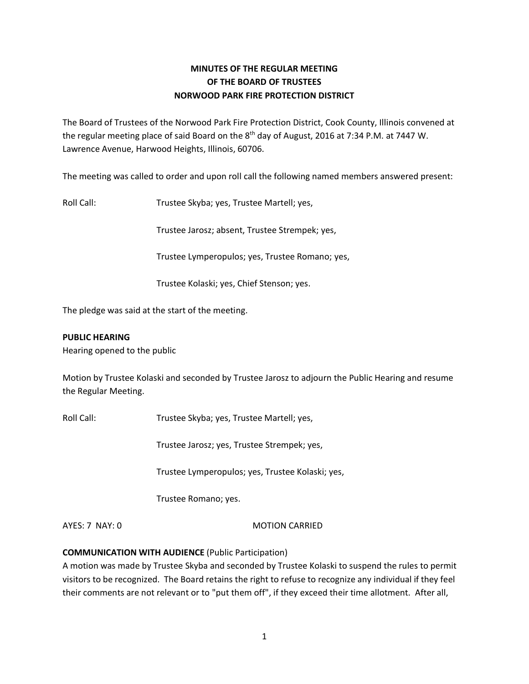# **MINUTES OF THE REGULAR MEETING OF THE BOARD OF TRUSTEES NORWOOD PARK FIRE PROTECTION DISTRICT**

The Board of Trustees of the Norwood Park Fire Protection District, Cook County, Illinois convened at the regular meeting place of said Board on the 8<sup>th</sup> day of August, 2016 at 7:34 P.M. at 7447 W. Lawrence Avenue, Harwood Heights, Illinois, 60706.

The meeting was called to order and upon roll call the following named members answered present:

Roll Call: Trustee Skyba; yes, Trustee Martell; yes,

Trustee Jarosz; absent, Trustee Strempek; yes,

Trustee Lymperopulos; yes, Trustee Romano; yes,

Trustee Kolaski; yes, Chief Stenson; yes.

The pledge was said at the start of the meeting.

### **PUBLIC HEARING**

Hearing opened to the public

Motion by Trustee Kolaski and seconded by Trustee Jarosz to adjourn the Public Hearing and resume the Regular Meeting.

Roll Call: Trustee Skyba; yes, Trustee Martell; yes,

Trustee Jarosz; yes, Trustee Strempek; yes,

Trustee Lymperopulos; yes, Trustee Kolaski; yes,

Trustee Romano; yes.

AYES: 7 NAY: 0 MOTION CARRIED

### **COMMUNICATION WITH AUDIENCE** (Public Participation)

A motion was made by Trustee Skyba and seconded by Trustee Kolaski to suspend the rules to permit visitors to be recognized. The Board retains the right to refuse to recognize any individual if they feel their comments are not relevant or to "put them off", if they exceed their time allotment. After all,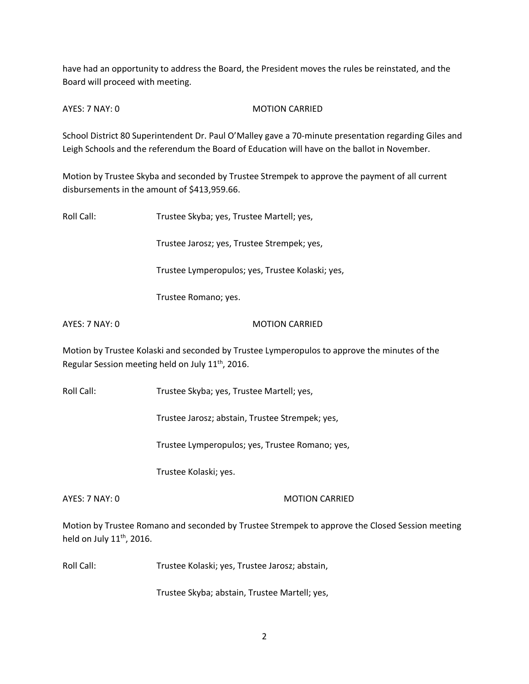have had an opportunity to address the Board, the President moves the rules be reinstated, and the Board will proceed with meeting.

AYES: 7 NAY: 0 MOTION CARRIED

School District 80 Superintendent Dr. Paul O'Malley gave a 70-minute presentation regarding Giles and Leigh Schools and the referendum the Board of Education will have on the ballot in November.

Motion by Trustee Skyba and seconded by Trustee Strempek to approve the payment of all current disbursements in the amount of \$413,959.66.

Roll Call: Trustee Skyba; yes, Trustee Martell; yes,

Trustee Jarosz; yes, Trustee Strempek; yes,

Trustee Lymperopulos; yes, Trustee Kolaski; yes,

Trustee Romano; yes.

AYES: 7 NAY: 0 MOTION CARRIED

Motion by Trustee Kolaski and seconded by Trustee Lymperopulos to approve the minutes of the Regular Session meeting held on July 11<sup>th</sup>, 2016.

Roll Call: Trustee Skyba; yes, Trustee Martell; yes,

Trustee Jarosz; abstain, Trustee Strempek; yes,

Trustee Lymperopulos; yes, Trustee Romano; yes,

Trustee Kolaski; yes.

### AYES: 7 NAY: 0 MOTION CARRIED

Motion by Trustee Romano and seconded by Trustee Strempek to approve the Closed Session meeting held on July  $11<sup>th</sup>$ , 2016.

Roll Call: Trustee Kolaski; yes, Trustee Jarosz; abstain,

Trustee Skyba; abstain, Trustee Martell; yes,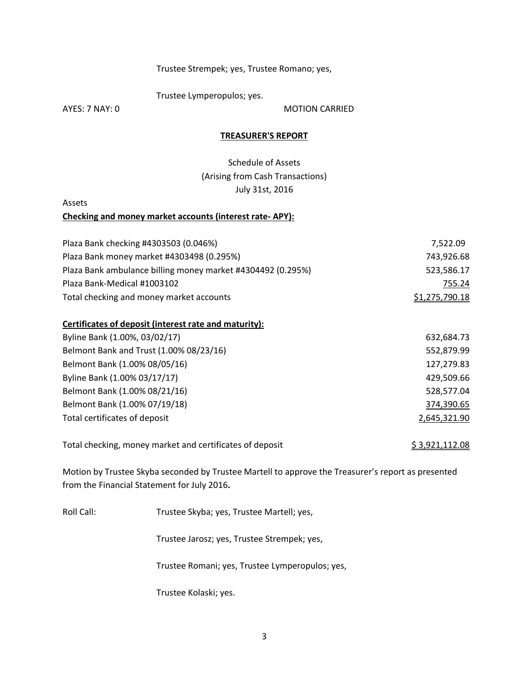### Trustee Strempek; yes, Trustee Romano; yes,

Trustee Lymperopulos; yes.

AYES: 7 NAY: 0 MOTION CARRIED

#### **TREASURER'S REPORT**

Schedule of Assets (Arising from Cash Transactions) July 31st, 2016

Assets

#### **Checking and money market accounts (interest rate- APY):**

| Plaza Bank checking #4303503 (0.046%)                       | 7.522.09              |
|-------------------------------------------------------------|-----------------------|
| Plaza Bank money market #4303498 (0.295%)                   | 743,926.68            |
| Plaza Bank ambulance billing money market #4304492 (0.295%) | 523,586.17            |
| Plaza Bank-Medical #1003102                                 | 755.24                |
| Total checking and money market accounts                    | <u>\$1,275,790.18</u> |

#### **Certificates of deposit (interest rate and maturity):**

| Belmont Bank and Trust (1.00% 08/23/16)<br>Belmont Bank (1.00% 08/05/16)<br>Byline Bank (1.00% 03/17/17)<br>Belmont Bank (1.00% 08/21/16)<br>Belmont Bank (1.00% 07/19/18)<br>Total certificates of deposit | Byline Bank (1.00%, 03/02/17) | 632,684.73   |
|-------------------------------------------------------------------------------------------------------------------------------------------------------------------------------------------------------------|-------------------------------|--------------|
|                                                                                                                                                                                                             |                               | 552,879.99   |
|                                                                                                                                                                                                             |                               | 127,279.83   |
|                                                                                                                                                                                                             |                               | 429,509.66   |
|                                                                                                                                                                                                             |                               | 528,577.04   |
|                                                                                                                                                                                                             |                               | 374,390.65   |
|                                                                                                                                                                                                             |                               | 2,645,321.90 |

Total checking, money market and certificates of deposit  $$3,921,112.08$ 

Motion by Trustee Skyba seconded by Trustee Martell to approve the Treasurer's report as presented from the Financial Statement for July 2016**.** 

Roll Call: Trustee Skyba; yes, Trustee Martell; yes,

Trustee Jarosz; yes, Trustee Strempek; yes,

Trustee Romani; yes, Trustee Lymperopulos; yes,

Trustee Kolaski; yes.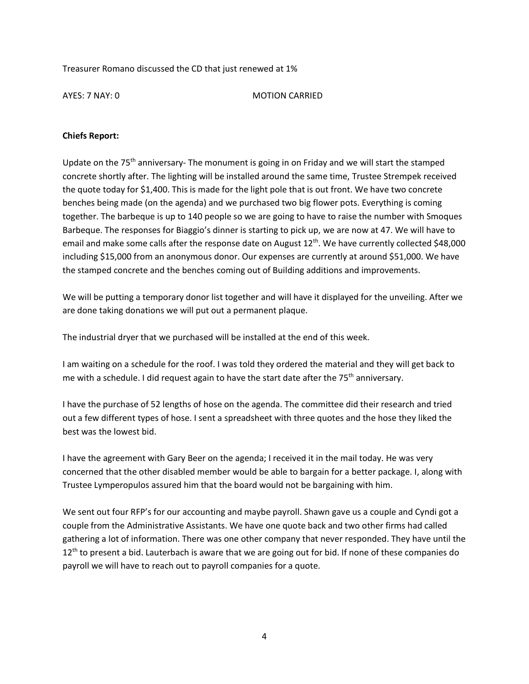Treasurer Romano discussed the CD that just renewed at 1%

AYES: 7 NAY: 0 MOTION CARRIED

## **Chiefs Report:**

Update on the 75<sup>th</sup> anniversary- The monument is going in on Friday and we will start the stamped concrete shortly after. The lighting will be installed around the same time, Trustee Strempek received the quote today for \$1,400. This is made for the light pole that is out front. We have two concrete benches being made (on the agenda) and we purchased two big flower pots. Everything is coming together. The barbeque is up to 140 people so we are going to have to raise the number with Smoques Barbeque. The responses for Biaggio's dinner is starting to pick up, we are now at 47. We will have to email and make some calls after the response date on August 12<sup>th</sup>. We have currently collected \$48,000 including \$15,000 from an anonymous donor. Our expenses are currently at around \$51,000. We have the stamped concrete and the benches coming out of Building additions and improvements.

We will be putting a temporary donor list together and will have it displayed for the unveiling. After we are done taking donations we will put out a permanent plaque.

The industrial dryer that we purchased will be installed at the end of this week.

I am waiting on a schedule for the roof. I was told they ordered the material and they will get back to me with a schedule. I did request again to have the start date after the  $75<sup>th</sup>$  anniversary.

I have the purchase of 52 lengths of hose on the agenda. The committee did their research and tried out a few different types of hose. I sent a spreadsheet with three quotes and the hose they liked the best was the lowest bid.

I have the agreement with Gary Beer on the agenda; I received it in the mail today. He was very concerned that the other disabled member would be able to bargain for a better package. I, along with Trustee Lymperopulos assured him that the board would not be bargaining with him.

We sent out four RFP's for our accounting and maybe payroll. Shawn gave us a couple and Cyndi got a couple from the Administrative Assistants. We have one quote back and two other firms had called gathering a lot of information. There was one other company that never responded. They have until the  $12<sup>th</sup>$  to present a bid. Lauterbach is aware that we are going out for bid. If none of these companies do payroll we will have to reach out to payroll companies for a quote.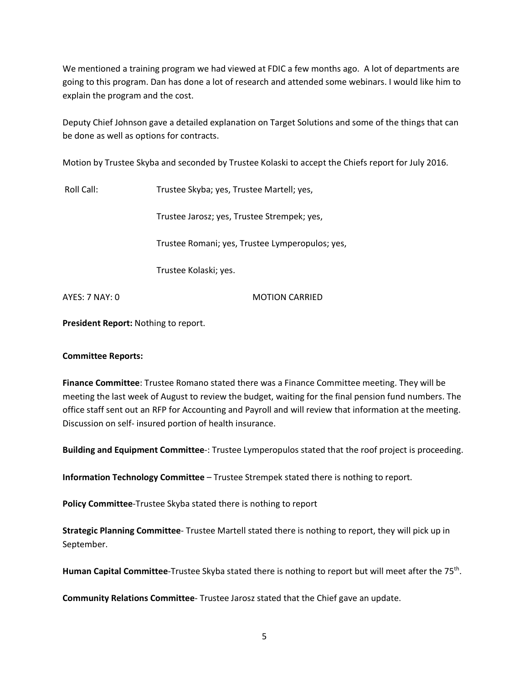We mentioned a training program we had viewed at FDIC a few months ago. A lot of departments are going to this program. Dan has done a lot of research and attended some webinars. I would like him to explain the program and the cost.

Deputy Chief Johnson gave a detailed explanation on Target Solutions and some of the things that can be done as well as options for contracts.

Motion by Trustee Skyba and seconded by Trustee Kolaski to accept the Chiefs report for July 2016.

Roll Call: Trustee Skyba; yes, Trustee Martell; yes,

Trustee Jarosz; yes, Trustee Strempek; yes,

Trustee Romani; yes, Trustee Lymperopulos; yes,

Trustee Kolaski; yes.

AYES: 7 NAY: 0 MOTION CARRIED

**President Report:** Nothing to report.

### **Committee Reports:**

**Finance Committee**: Trustee Romano stated there was a Finance Committee meeting. They will be meeting the last week of August to review the budget, waiting for the final pension fund numbers. The office staff sent out an RFP for Accounting and Payroll and will review that information at the meeting. Discussion on self- insured portion of health insurance.

**Building and Equipment Committee**-: Trustee Lymperopulos stated that the roof project is proceeding.

**Information Technology Committee** – Trustee Strempek stated there is nothing to report.

**Policy Committee**-Trustee Skyba stated there is nothing to report

**Strategic Planning Committee**- Trustee Martell stated there is nothing to report, they will pick up in September.

Human Capital Committee-Trustee Skyba stated there is nothing to report but will meet after the 75<sup>th</sup>.

**Community Relations Committee**- Trustee Jarosz stated that the Chief gave an update.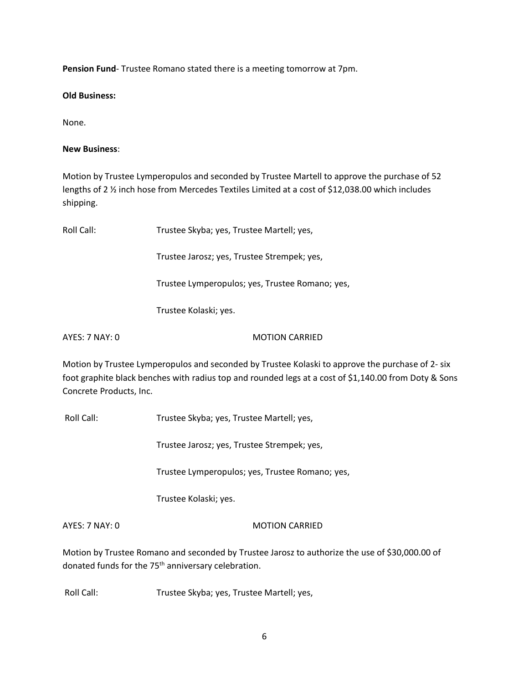**Pension Fund**- Trustee Romano stated there is a meeting tomorrow at 7pm.

**Old Business:** 

None.

### **New Business**:

Motion by Trustee Lymperopulos and seconded by Trustee Martell to approve the purchase of 52 lengths of 2 ½ inch hose from Mercedes Textiles Limited at a cost of \$12,038.00 which includes shipping.

| Roll Call:     | Trustee Skyba; yes, Trustee Martell; yes,       |  |
|----------------|-------------------------------------------------|--|
|                | Trustee Jarosz; yes, Trustee Strempek; yes,     |  |
|                | Trustee Lymperopulos; yes, Trustee Romano; yes, |  |
|                | Trustee Kolaski; yes.                           |  |
| AYES: 7 NAY: 0 | <b>MOTION CARRIED</b>                           |  |

Motion by Trustee Lymperopulos and seconded by Trustee Kolaski to approve the purchase of 2- six foot graphite black benches with radius top and rounded legs at a cost of \$1,140.00 from Doty & Sons Concrete Products, Inc.

Roll Call: Trustee Skyba; yes, Trustee Martell; yes,

Trustee Jarosz; yes, Trustee Strempek; yes,

Trustee Lymperopulos; yes, Trustee Romano; yes,

Trustee Kolaski; yes.

AYES: 7 NAY: 0 MOTION CARRIED

Motion by Trustee Romano and seconded by Trustee Jarosz to authorize the use of \$30,000.00 of donated funds for the 75<sup>th</sup> anniversary celebration.

Roll Call: Trustee Skyba; yes, Trustee Martell; yes,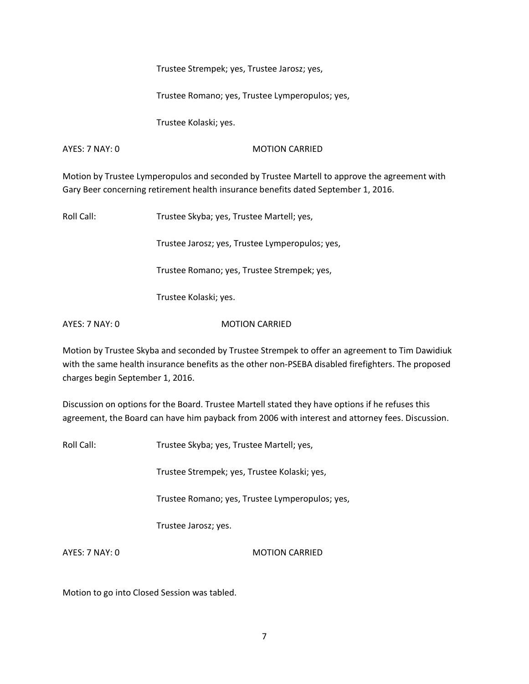Trustee Strempek; yes, Trustee Jarosz; yes,

Trustee Romano; yes, Trustee Lymperopulos; yes,

Trustee Kolaski; yes.

AYES: 7 NAY: 0 MOTION CARRIED

Motion by Trustee Lymperopulos and seconded by Trustee Martell to approve the agreement with Gary Beer concerning retirement health insurance benefits dated September 1, 2016.

Roll Call: Trustee Skyba; yes, Trustee Martell; yes,

Trustee Jarosz; yes, Trustee Lymperopulos; yes,

Trustee Romano; yes, Trustee Strempek; yes,

Trustee Kolaski; yes.

AYES: 7 NAY: 0 MOTION CARRIED

Motion by Trustee Skyba and seconded by Trustee Strempek to offer an agreement to Tim Dawidiuk with the same health insurance benefits as the other non-PSEBA disabled firefighters. The proposed charges begin September 1, 2016.

Discussion on options for the Board. Trustee Martell stated they have options if he refuses this agreement, the Board can have him payback from 2006 with interest and attorney fees. Discussion.

Roll Call: Trustee Skyba; yes, Trustee Martell; yes,

Trustee Strempek; yes, Trustee Kolaski; yes,

Trustee Romano; yes, Trustee Lymperopulos; yes,

Trustee Jarosz; yes.

AYES: 7 NAY: 0 MOTION CARRIED

Motion to go into Closed Session was tabled.